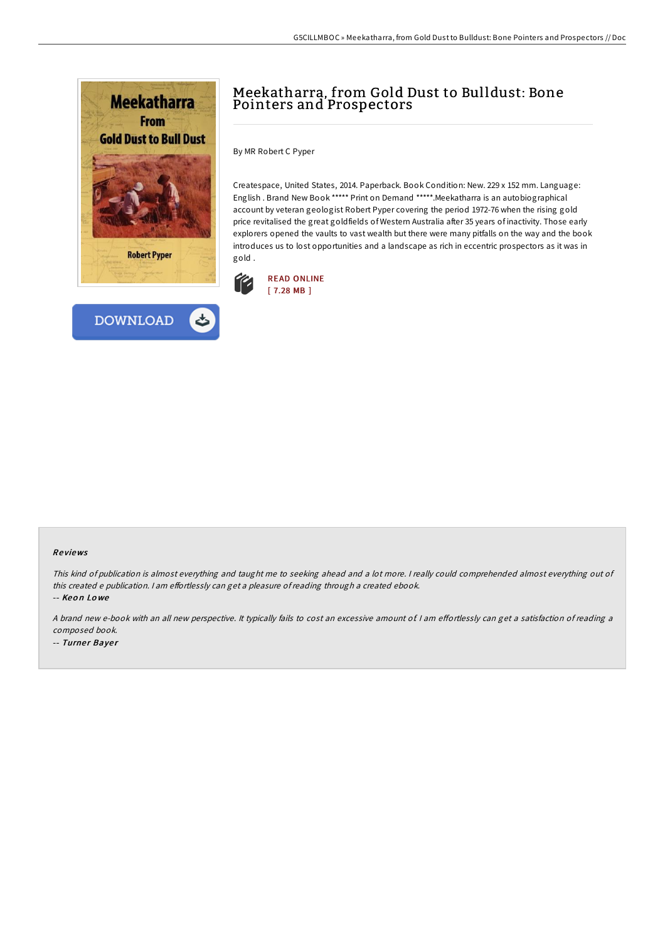



## Meekatharra, from Gold Dust to Bulldust: Bone Pointers and Prospectors

By MR Robert C Pyper

Createspace, United States, 2014. Paperback. Book Condition: New. 229 x 152 mm. Language: English . Brand New Book \*\*\*\*\* Print on Demand \*\*\*\*\*.Meekatharra is an autobiographical account by veteran geologist Robert Pyper covering the period 1972-76 when the rising gold price revitalised the great goldfields of Western Australia after 35 years of inactivity. Those early explorers opened the vaults to vast wealth but there were many pitfalls on the way and the book introduces us to lost opportunities and a landscape as rich in eccentric prospectors as it was in gold .



## Re views

This kind of publication is almost everything and taught me to seeking ahead and <sup>a</sup> lot more. <sup>I</sup> really could comprehended almost everything out of this created e publication. I am effortlessly can get a pleasure of reading through a created ebook.

-- Keo n Lo we

A brand new e-book with an all new perspective. It typically fails to cost an excessive amount of I am effortlessly can get a satisfaction of reading a composed book. -- Turner Bayer